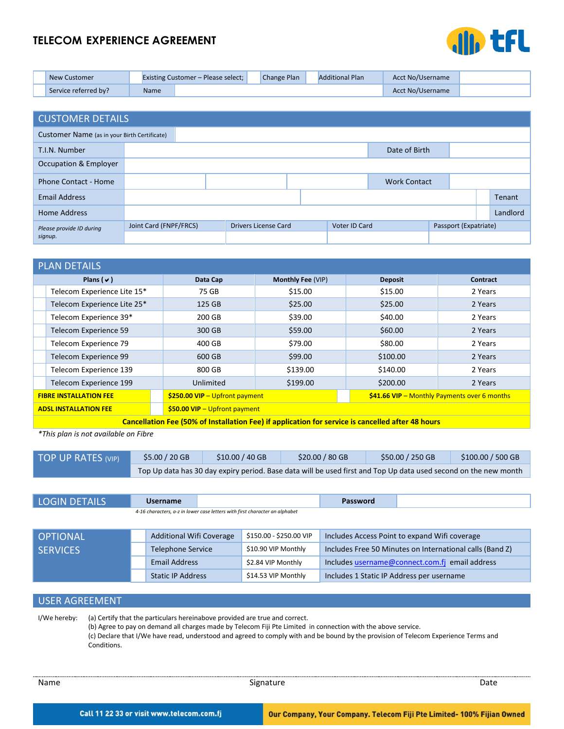# **TELECOM EXPERIENCE AGREEMENT**



| New Customer         |             | <b>Existing Customer – Please select;</b> | Change Plan | <b>Additional Plan</b> | Acct No/Username |  |
|----------------------|-------------|-------------------------------------------|-------------|------------------------|------------------|--|
| Service referred by? | <b>Name</b> |                                           |             |                        | Acct No/Username |  |

| <b>CUSTOMER DETAILS</b>                      |                        |                             |  |               |  |  |                       |               |
|----------------------------------------------|------------------------|-----------------------------|--|---------------|--|--|-----------------------|---------------|
| Customer Name (as in your Birth Certificate) |                        |                             |  |               |  |  |                       |               |
| T.I.N. Number                                | Date of Birth          |                             |  |               |  |  |                       |               |
| Occupation & Employer                        |                        |                             |  |               |  |  |                       |               |
| Phone Contact - Home                         |                        | <b>Work Contact</b>         |  |               |  |  |                       |               |
| <b>Email Address</b>                         |                        |                             |  |               |  |  |                       | <b>Tenant</b> |
| <b>Home Address</b>                          |                        |                             |  |               |  |  |                       | Landlord      |
| Please provide ID during                     | Joint Card (FNPF/FRCS) | <b>Drivers License Card</b> |  | Voter ID Card |  |  | Passport (Expatriate) |               |
| signup.                                      |                        |                             |  |               |  |  |                       |               |

|                              | <b>PLAN DETAILS</b>                                                                               |                                                                                  |                   |                |          |  |  |  |
|------------------------------|---------------------------------------------------------------------------------------------------|----------------------------------------------------------------------------------|-------------------|----------------|----------|--|--|--|
|                              | Plans $(\vee)$                                                                                    | Data Cap                                                                         | Monthly Fee (VIP) | <b>Deposit</b> | Contract |  |  |  |
|                              | Telecom Experience Lite 15*                                                                       | 75 GB                                                                            | \$15.00           | \$15.00        | 2 Years  |  |  |  |
|                              | Telecom Experience Lite 25*                                                                       | 125 GB                                                                           | \$25.00           | \$25.00        | 2 Years  |  |  |  |
|                              | Telecom Experience 39*                                                                            | 200 GB                                                                           | \$39.00           | \$40.00        | 2 Years  |  |  |  |
|                              | Telecom Experience 59                                                                             | 300 GB                                                                           | \$59.00           | \$60.00        | 2 Years  |  |  |  |
|                              | Telecom Experience 79                                                                             | 400 GB                                                                           | \$79.00           | \$80.00        | 2 Years  |  |  |  |
|                              | Telecom Experience 99                                                                             | 600 GB                                                                           | \$99.00           | \$100.00       | 2 Years  |  |  |  |
|                              | Telecom Experience 139                                                                            | 800 GB                                                                           | \$139.00          | \$140.00       | 2 Years  |  |  |  |
|                              | Telecom Experience 199                                                                            | Unlimited                                                                        | \$199.00          | \$200.00       | 2 Years  |  |  |  |
|                              | <b>FIBRE INSTALLATION FEE</b>                                                                     | $$250.00$ VIP - Upfront payment<br>$$41.66$ VIP - Monthly Payments over 6 months |                   |                |          |  |  |  |
| <b>ADSL INSTALLATION FEE</b> |                                                                                                   | $$50.00$ VIP - Upfront payment                                                   |                   |                |          |  |  |  |
|                              | Cancellation Fee (50% of Installation Fee) if application for service is cancelled after 48 hours |                                                                                  |                   |                |          |  |  |  |

*\*This plan is not available on Fibre*

| TOP UP RATES (VIP) | $$5.00 / 20$ GB                                                                                                 | $$10.00 / 40$ GB | $$20.00 / 80$ GB | $$50.00 / 250$ GB | $$100.00 / 500$ GB |  |  |
|--------------------|-----------------------------------------------------------------------------------------------------------------|------------------|------------------|-------------------|--------------------|--|--|
|                    | Top Up data has 30 day expiry period. Base data will be used first and Top Up data used second on the new month |                  |                  |                   |                    |  |  |

| <b>LOGIN DETAILS</b>                                                        | <b>Username</b>                 |  |                         | Password                                      |                                                          |  |
|-----------------------------------------------------------------------------|---------------------------------|--|-------------------------|-----------------------------------------------|----------------------------------------------------------|--|
| 4-16 characters, a-z in lower case letters with first character an alphabet |                                 |  |                         |                                               |                                                          |  |
|                                                                             |                                 |  |                         |                                               |                                                          |  |
| <b>OPTIONAL</b>                                                             | <b>Additional Wifi Coverage</b> |  | \$150.00 - \$250.00 VIP | Includes Access Point to expand Wifi coverage |                                                          |  |
| <b>SERVICES</b>                                                             | <b>Telephone Service</b>        |  | \$10.90 VIP Monthly     |                                               | Includes Free 50 Minutes on International calls (Band Z) |  |
|                                                                             | Email Address                   |  | \$2.84 VIP Monthly      |                                               | Includes username@connect.com.fj email address           |  |
|                                                                             | <b>Static IP Address</b>        |  | \$14.53 VIP Monthly     | Includes 1 Static IP Address per username     |                                                          |  |
|                                                                             |                                 |  |                         |                                               |                                                          |  |

## USER AGREEMENT

I/We hereby: (a) Certify that the particulars hereinabove provided are true and correct. (b) Agree to pay on demand all charges made by Telecom Fiji Pte Limited in connection with the above service. (c) Declare that I/We have read, understood and agreed to comply with and be bound by the provision of Telecom Experience Terms and Conditions.

| . . | ٠ |  |
|-----|---|--|
|     |   |  |

Name **Signature Signature Signature** Signature **Date** Date